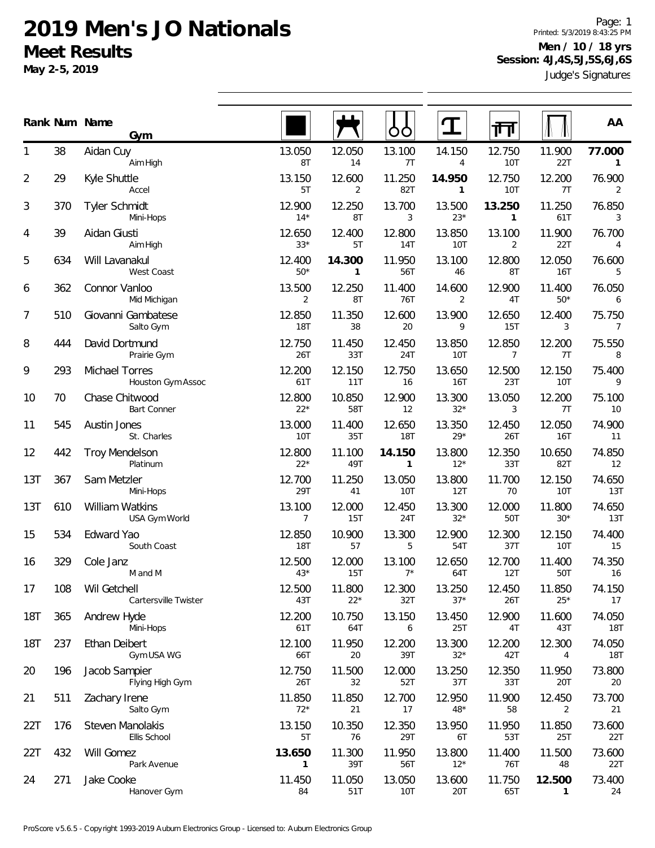**May 2-5, 2019**

Judge's Signatures Page: 1 Printed: 5/3/2019 8:43:25 PM **Men / 10 / 18 yrs Session: 4J,4S,5J,5S,6J,6S**

|                |     | Rank Num Name<br>Gym                 |                          |                          | OO                     |                        | 门                        |                        | AA                     |
|----------------|-----|--------------------------------------|--------------------------|--------------------------|------------------------|------------------------|--------------------------|------------------------|------------------------|
| 1              | 38  | Aidan Cuy<br>Aim High                | 13.050<br>8T             | 12.050<br>14             | 13.100<br>7T           | 14.150<br>4            | 12.750<br>10T            | 11.900<br>22T          | 77.000<br>$\mathbf{1}$ |
| $\overline{2}$ | 29  | Kyle Shuttle<br>Accel                | 13.150<br>5T             | 12.600<br>$\overline{2}$ | 11.250<br>82T          | 14.950<br>$\mathbf{1}$ | 12.750<br><b>10T</b>     | 12.200<br>7T           | 76.900<br>2            |
| 3              | 370 | <b>Tyler Schmidt</b><br>Mini-Hops    | 12.900<br>$14*$          | 12.250<br>8T             | 13.700<br>3            | 13.500<br>$23*$        | 13.250<br>$\mathbf{1}$   | 11.250<br>61T          | 76.850<br>3            |
| 4              | 39  | Aidan Giusti<br>Aim High             | 12.650<br>$33*$          | 12.400<br>5T             | 12.800<br>14T          | 13.850<br>10T          | 13.100<br>2              | 11.900<br>22T          | 76.700<br>4            |
| 5              | 634 | Will Lavanakul<br>West Coast         | 12.400<br>$50*$          | 14.300<br>$\mathbf{1}$   | 11.950<br>56T          | 13.100<br>46           | 12.800<br>8T             | 12.050<br><b>16T</b>   | 76.600<br>5            |
| 6              | 362 | Connor Vanloo<br>Mid Michigan        | 13.500<br>$\overline{2}$ | 12.250<br>8T             | 11.400<br>76T          | 14.600<br>2            | 12.900<br>4T             | 11.400<br>$50*$        | 76.050<br>6            |
| 7              | 510 | Giovanni Gambatese<br>Salto Gym      | 12.850<br><b>18T</b>     | 11.350<br>38             | 12.600<br>20           | 13.900<br>9            | 12.650<br>15T            | 12.400<br>3            | 75.750<br>7            |
| 8              | 444 | David Dortmund<br>Prairie Gym        | 12.750<br>26T            | 11.450<br>33T            | 12.450<br>24T          | 13.850<br><b>10T</b>   | 12.850<br>$\overline{7}$ | 12.200<br>7T           | 75.550<br>8            |
| 9              | 293 | Michael Torres<br>Houston Gym Assoc  | 12.200<br>61T            | 12.150<br>11T            | 12.750<br>16           | 13.650<br>16T          | 12.500<br>23T            | 12.150<br>10T          | 75.400<br>9            |
| 10             | 70  | Chase Chitwood<br><b>Bart Conner</b> | 12.800<br>$22*$          | 10.850<br>58T            | 12.900<br>12           | 13.300<br>$32*$        | 13.050<br>3              | 12.200<br>7T           | 75.100<br>10           |
| 11             | 545 | Austin Jones<br>St. Charles          | 13.000<br>10T            | 11.400<br>35T            | 12.650<br><b>18T</b>   | 13.350<br>$29*$        | 12.450<br>26T            | 12.050<br><b>16T</b>   | 74.900<br>11           |
| 12             | 442 | <b>Troy Mendelson</b><br>Platinum    | 12.800<br>$22*$          | 11.100<br>49T            | 14.150<br>$\mathbf{1}$ | 13.800<br>$12*$        | 12.350<br>33T            | 10.650<br>82T          | 74.850<br>12           |
| 13T            | 367 | Sam Metzler<br>Mini-Hops             | 12.700<br>29T            | 11.250<br>41             | 13.050<br>10T          | 13.800<br>12T          | 11.700<br>70             | 12.150<br>10T          | 74.650<br>13T          |
| 13T            | 610 | William Watkins<br>USA Gym World     | 13.100<br>7              | 12.000<br>15T            | 12.450<br>24T          | 13.300<br>$32*$        | 12.000<br>50T            | 11.800<br>$30*$        | 74.650<br>13T          |
| 15             | 534 | Edward Yao<br>South Coast            | 12.850<br>18T            | 10.900<br>57             | 13.300<br>5            | 12.900<br>54T          | 12.300<br>37T            | 12.150<br>10T          | 74.400<br>15           |
| 16             | 329 | Cole Janz<br>M and M                 | 12.500<br>$43*$          | 12.000<br>15T            | 13.100<br>$7*$         | 12.650<br>64T          | 12.700<br>12T            | 11.400<br>50T          | 74.350<br>16           |
| 17             | 108 | Wil Getchell<br>Cartersville Twister | 12.500<br>43T            | 11.800<br>$22*$          | 12.300<br>32T          | 13.250<br>$37*$        | 12.450<br>26T            | 11.850<br>$25*$        | 74.150<br>17           |
| <b>18T</b>     | 365 | Andrew Hyde<br>Mini-Hops             | 12.200<br>61T            | 10.750<br>64T            | 13.150<br>6            | 13.450<br>25T          | 12.900<br>4T             | 11.600<br>43T          | 74.050<br>18T          |
| <b>18T</b>     | 237 | Ethan Deibert<br>Gym USA WG          | 12.100<br>66T            | 11.950<br>20             | 12.200<br>39T          | 13.300<br>$32^{\star}$ | 12.200<br>42T            | 12.300<br>4            | 74.050<br><b>18T</b>   |
| 20             | 196 | Jacob Sampier<br>Flying High Gym     | 12.750<br>26T            | 11.500<br>32             | 12.000<br>52T          | 13.250<br>37T          | 12.350<br>33T            | 11.950<br>20T          | 73.800<br>20           |
| 21             | 511 | Zachary Irene<br>Salto Gym           | 11.850<br>$72*$          | 11.850<br>21             | 12.700<br>17           | 12.950<br>$48*$        | 11.900<br>58             | 12.450<br>2            | 73.700<br>21           |
| 22T            | 176 | Steven Manolakis<br>Ellis School     | 13.150<br>5T             | 10.350<br>76             | 12.350<br>29T          | 13.950<br>6T           | 11.950<br>53T            | 11.850<br>25T          | 73.600<br>22T          |
| 22T            | 432 | Will Gomez<br>Park Avenue            | 13.650<br>1              | 11.300<br>39T            | 11.950<br>56T          | 13.800<br>$12*$        | 11.400<br>76T            | 11.500<br>48           | 73.600<br>22T          |
| 24             | 271 | Jake Cooke<br>Hanover Gym            | 11.450<br>84             | 11.050<br>51T            | 13.050<br>10T          | 13.600<br>20T          | 11.750<br>65T            | 12.500<br>$\mathbf{1}$ | 73.400<br>24           |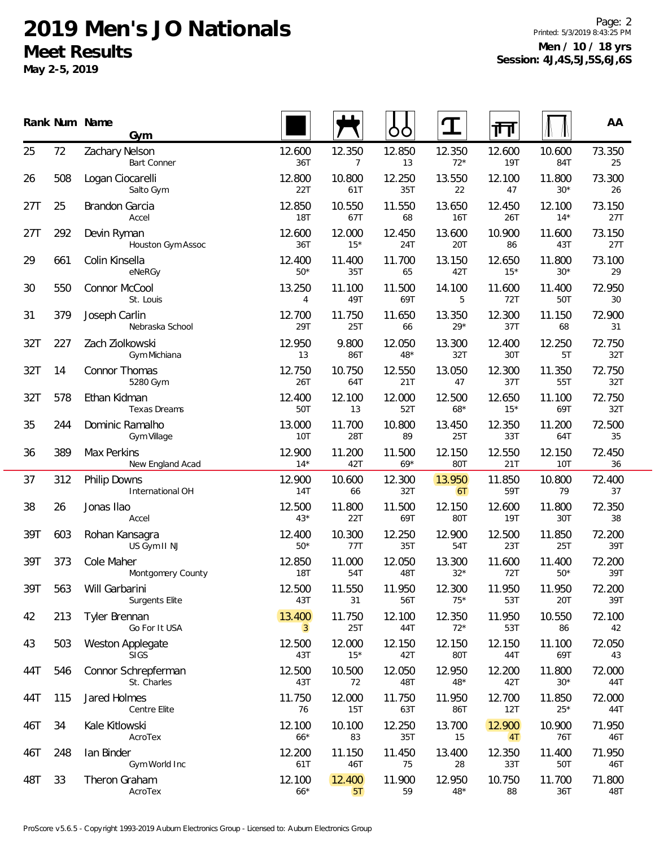**May 2-5, 2019**

Page: 2 Printed: 5/3/2019 8:43:25 PM **Men / 10 / 18 yrs Session: 4J,4S,5J,5S,6J,6S**

|     |     | Rank Num Name<br>Gym                    |                          |                 | ŌÒ              | T               | गा              |                 | AA            |
|-----|-----|-----------------------------------------|--------------------------|-----------------|-----------------|-----------------|-----------------|-----------------|---------------|
| 25  | 72  | Zachary Nelson<br><b>Bart Conner</b>    | 12.600<br>36T            | 12.350<br>7     | 12.850<br>13    | 12.350<br>$72*$ | 12.600<br>19T   | 10.600<br>84T   | 73.350<br>25  |
| 26  | 508 | Logan Ciocarelli<br>Salto Gym           | 12.800<br>22T            | 10.800<br>61T   | 12.250<br>35T   | 13.550<br>22    | 12.100<br>47    | 11.800<br>$30*$ | 73.300<br>26  |
| 27T | 25  | <b>Brandon Garcia</b><br>Accel          | 12.850<br>18T            | 10.550<br>67T   | 11.550<br>68    | 13.650<br>16T   | 12.450<br>26T   | 12.100<br>$14*$ | 73.150<br>27T |
| 27T | 292 | Devin Ryman<br>Houston Gym Assoc        | 12.600<br>36T            | 12.000<br>$15*$ | 12.450<br>24T   | 13.600<br>20T   | 10.900<br>86    | 11.600<br>43T   | 73.150<br>27T |
| 29  | 661 | Colin Kinsella<br>eNeRGy                | 12.400<br>$50*$          | 11.400<br>35T   | 11.700<br>65    | 13.150<br>42T   | 12.650<br>$15*$ | 11.800<br>$30*$ | 73.100<br>29  |
| 30  | 550 | Connor McCool<br>St. Louis              | 13.250<br>4              | 11.100<br>49T   | 11.500<br>69T   | 14.100<br>5     | 11.600<br>72T   | 11.400<br>50T   | 72.950<br>30  |
| 31  | 379 | Joseph Carlin<br>Nebraska School        | 12.700<br>29T            | 11.750<br>25T   | 11.650<br>66    | 13.350<br>$29*$ | 12.300<br>37T   | 11.150<br>68    | 72.900<br>31  |
| 32T | 227 | Zach Ziolkowski<br>Gym Michiana         | 12.950<br>13             | 9.800<br>86T    | 12.050<br>$48*$ | 13.300<br>32T   | 12.400<br>30T   | 12.250<br>5T    | 72.750<br>32T |
| 32T | 14  | Connor Thomas<br>5280 Gym               | 12.750<br>26T            | 10.750<br>64T   | 12.550<br>21T   | 13.050<br>47    | 12.300<br>37T   | 11.350<br>55T   | 72.750<br>32T |
| 32T | 578 | Ethan Kidman<br>Texas Dreams            | 12.400<br>50T            | 12.100<br>13    | 12.000<br>52T   | 12.500<br>$68*$ | 12.650<br>$15*$ | 11.100<br>69T   | 72.750<br>32T |
| 35  | 244 | Dominic Ramalho<br>Gym Village          | 13.000<br><b>10T</b>     | 11.700<br>28T   | 10.800<br>89    | 13.450<br>25T   | 12.350<br>33T   | 11.200<br>64T   | 72.500<br>35  |
| 36  | 389 | Max Perkins<br>New England Acad         | 12.900<br>$14*$          | 11.200<br>42T   | 11.500<br>$69*$ | 12.150<br>80T   | 12.550<br>21T   | 12.150<br>10T   | 72.450<br>36  |
| 37  | 312 | Philip Downs<br>International OH        | 12.900<br>14T            | 10.600<br>66    | 12.300<br>32T   | 13.950<br>6T    | 11.850<br>59T   | 10.800<br>79    | 72.400<br>37  |
| 38  | 26  | Jonas Ilao<br>Accel                     | 12.500<br>$43*$          | 11.800<br>22T   | 11.500<br>69T   | 12.150<br>80T   | 12.600<br>19T   | 11.800<br>30T   | 72.350<br>38  |
| 39T | 603 | Rohan Kansagra<br>US Gym II NJ          | 12.400<br>$50*$          | 10.300<br>77T   | 12.250<br>35T   | 12.900<br>54T   | 12.500<br>23T   | 11.850<br>25T   | 72.200<br>39T |
| 39T | 373 | Cole Maher<br>Montgomery County         | 12.850<br><b>18T</b>     | 11.000<br>54T   | 12.050<br>48T   | 13.300<br>$32*$ | 11.600<br>72T   | 11.400<br>$50*$ | 72.200<br>39T |
| 39T | 563 | Will Garbarini<br><b>Surgents Elite</b> | 12.500<br>43T            | 11.550<br>31    | 11.950<br>56T   | 12.300<br>$75*$ | 11.950<br>53T   | 11.950<br>20T   | 72.200<br>39T |
| 42  | 213 | Tyler Brennan<br>Go For It USA          | 13.400<br>$\overline{3}$ | 11.750<br>25T   | 12.100<br>44T   | 12.350<br>$72*$ | 11.950<br>53T   | 10.550<br>86    | 72.100<br>42  |
| 43  | 503 | <b>Weston Applegate</b><br><b>SIGS</b>  | 12.500<br>43T            | 12.000<br>$15*$ | 12.150<br>42T   | 12.150<br>80T   | 12.150<br>44T   | 11.100<br>69T   | 72.050<br>43  |
| 44T | 546 | Connor Schrepferman<br>St. Charles      | 12.500<br>43T            | 10.500<br>72    | 12.050<br>48T   | 12.950<br>$48*$ | 12.200<br>42T   | 11.800<br>$30*$ | 72.000<br>44T |
| 44T | 115 | Jared Holmes<br>Centre Elite            | 11.750<br>76             | 12.000<br>15T   | 11.750<br>63T   | 11.950<br>86T   | 12.700<br>12T   | 11.850<br>$25*$ | 72.000<br>44T |
| 46T | 34  | Kale Kitlowski<br>AcroTex               | 12.100<br>$66*$          | 10.100<br>83    | 12.250<br>35T   | 13.700<br>15    | 12.900<br>4T    | 10.900<br>76T   | 71.950<br>46T |
| 46T | 248 | lan Binder<br>Gym World Inc             | 12.200<br>61T            | 11.150<br>46T   | 11.450<br>75    | 13.400<br>28    | 12.350<br>33T   | 11.400<br>50T   | 71.950<br>46T |
| 48T | 33  | Theron Graham<br>AcroTex                | 12.100<br>$66*$          | 12.400<br>5T    | 11.900<br>59    | 12.950<br>$48*$ | 10.750<br>88    | 11.700<br>36T   | 71.800<br>48T |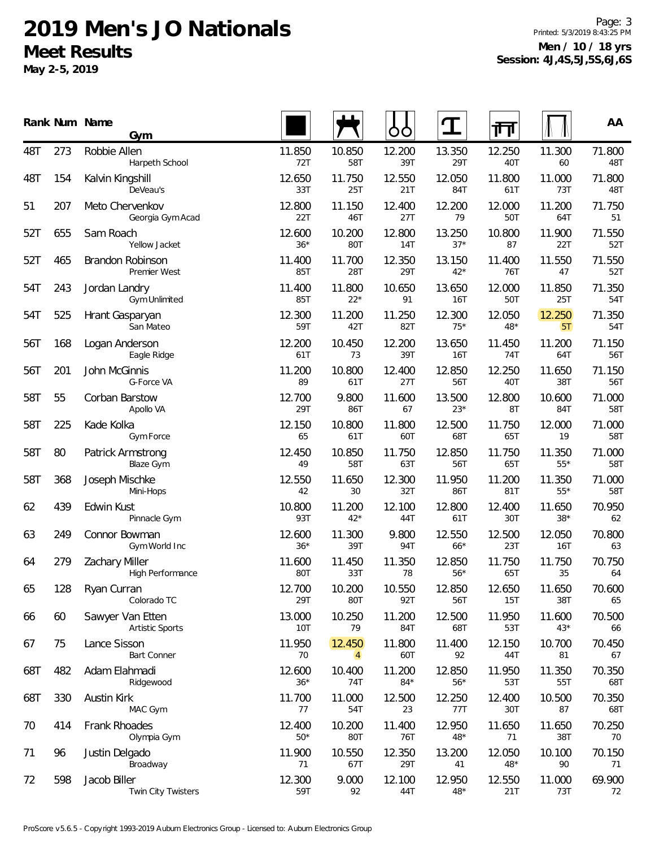**May 2-5, 2019**

Page: 3 Printed: 5/3/2019 8:43:25 PM **Men / 10 / 18 yrs Session: 4J,4S,5J,5S,6J,6S**

|     |     | Rank Num Name<br>Gym                       |                 |                          | Ő               | $\mathbf T$     | गा              |                 | AA            |
|-----|-----|--------------------------------------------|-----------------|--------------------------|-----------------|-----------------|-----------------|-----------------|---------------|
| 48T | 273 | Robbie Allen<br>Harpeth School             | 11.850<br>72T   | 10.850<br>58T            | 12.200<br>39T   | 13.350<br>29T   | 12.250<br>40T   | 11.300<br>60    | 71.800<br>48T |
| 48T | 154 | Kalvin Kingshill<br>DeVeau's               | 12.650<br>33T   | 11.750<br>25T            | 12.550<br>21T   | 12.050<br>84T   | 11.800<br>61T   | 11.000<br>73T   | 71.800<br>48T |
| 51  | 207 | Meto Chervenkov<br>Georgia Gym Acad        | 12.800<br>22T   | 11.150<br>46T            | 12.400<br>27T   | 12.200<br>79    | 12.000<br>50T   | 11.200<br>64T   | 71.750<br>51  |
| 52T | 655 | Sam Roach<br>Yellow Jacket                 | 12.600<br>$36*$ | 10.200<br>80T            | 12.800<br>14T   | 13.250<br>$37*$ | 10.800<br>87    | 11.900<br>22T   | 71.550<br>52T |
| 52T | 465 | Brandon Robinson<br>Premier West           | 11.400<br>85T   | 11.700<br>28T            | 12.350<br>29T   | 13.150<br>$42*$ | 11.400<br>76T   | 11.550<br>47    | 71.550<br>52T |
| 54T | 243 | Jordan Landry<br>Gym Unlimited             | 11.400<br>85T   | 11.800<br>$22*$          | 10.650<br>91    | 13.650<br>16T   | 12.000<br>50T   | 11.850<br>25T   | 71.350<br>54T |
| 54T | 525 | Hrant Gasparyan<br>San Mateo               | 12.300<br>59T   | 11.200<br>42T            | 11.250<br>82T   | 12.300<br>$75*$ | 12.050<br>$48*$ | 12.250<br>5T    | 71.350<br>54T |
| 56T | 168 | Logan Anderson<br>Eagle Ridge              | 12.200<br>61T   | 10.450<br>73             | 12.200<br>39T   | 13.650<br>16T   | 11.450<br>74T   | 11.200<br>64T   | 71.150<br>56T |
| 56T | 201 | John McGinnis<br>G-Force VA                | 11.200<br>89    | 10.800<br>61T            | 12.400<br>27T   | 12.850<br>56T   | 12.250<br>40T   | 11.650<br>38T   | 71.150<br>56T |
| 58T | 55  | Corban Barstow<br>Apollo VA                | 12.700<br>29T   | 9.800<br>86T             | 11.600<br>67    | 13.500<br>$23*$ | 12.800<br>8T    | 10.600<br>84T   | 71.000<br>58T |
| 58T | 225 | Kade Kolka<br>Gym Force                    | 12.150<br>65    | 10.800<br>61T            | 11.800<br>60T   | 12.500<br>68T   | 11.750<br>65T   | 12.000<br>19    | 71.000<br>58T |
| 58T | 80  | Patrick Armstrong<br><b>Blaze Gym</b>      | 12.450<br>49    | 10.850<br>58T            | 11.750<br>63T   | 12.850<br>56T   | 11.750<br>65T   | 11.350<br>$55*$ | 71.000<br>58T |
| 58T | 368 | Joseph Mischke<br>Mini-Hops                | 12.550<br>42    | 11.650<br>30             | 12.300<br>32T   | 11.950<br>86T   | 11.200<br>81T   | 11.350<br>$55*$ | 71.000<br>58T |
| 62  | 439 | Edwin Kust<br>Pinnacle Gym                 | 10.800<br>93T   | 11.200<br>$42*$          | 12.100<br>44T   | 12.800<br>61T   | 12.400<br>30T   | 11.650<br>$38*$ | 70.950<br>62  |
| 63  | 249 | Connor Bowman<br>Gym World Inc             | 12.600<br>$36*$ | 11.300<br>39T            | 9.800<br>94T    | 12.550<br>$66*$ | 12.500<br>23T   | 12.050<br>16T   | 70.800<br>63  |
| 64  | 279 | <b>Zachary Miller</b><br>High Performance  | 11.600<br>80T   | 11.450<br>33T            | 11.350<br>78    | 12.850<br>$56*$ | 11.750<br>65T   | 11.750<br>35    | 70.750<br>64  |
| 65  | 128 | Ryan Curran<br>Colorado TC                 | 12.700<br>29T   | 10.200<br>80T            | 10.550<br>92T   | 12.850<br>56T   | 12.650<br>15T   | 11.650<br>38T   | 70.600<br>65  |
| 66  | 60  | Sawyer Van Etten<br><b>Artistic Sports</b> | 13.000<br>10T   | 10.250<br>79             | 11.200<br>84T   | 12.500<br>68T   | 11.950<br>53T   | 11.600<br>$43*$ | 70.500<br>66  |
| 67  | 75  | Lance Sisson<br><b>Bart Conner</b>         | 11.950<br>70    | 12.450<br>$\overline{4}$ | 11.800<br>60T   | 11.400<br>92    | 12.150<br>44T   | 10.700<br>81    | 70.450<br>67  |
| 68T | 482 | Adam Elahmadi<br>Ridgewood                 | 12.600<br>$36*$ | 10.400<br>74T            | 11.200<br>$84*$ | 12.850<br>$56*$ | 11.950<br>53T   | 11.350<br>55T   | 70.350<br>68T |
| 68T | 330 | Austin Kirk<br>MAC Gym                     | 11.700<br>77    | 11.000<br>54T            | 12.500<br>23    | 12.250<br>77T   | 12.400<br>30T   | 10.500<br>87    | 70.350<br>68T |
| 70  | 414 | Frank Rhoades<br>Olympia Gym               | 12.400<br>$50*$ | 10.200<br>80T            | 11.400<br>76T   | 12.950<br>$48*$ | 11.650<br>71    | 11.650<br>38T   | 70.250<br>70  |
| 71  | 96  | Justin Delgado<br>Broadway                 | 11.900<br>71    | 10.550<br>67T            | 12.350<br>29T   | 13.200<br>41    | 12.050<br>48*   | 10.100<br>90    | 70.150<br>71  |
| 72  | 598 | Jacob Biller<br>Twin City Twisters         | 12.300<br>59T   | 9.000<br>92              | 12.100<br>44T   | 12.950<br>$48*$ | 12.550<br>21T   | 11.000<br>73T   | 69.900<br>72  |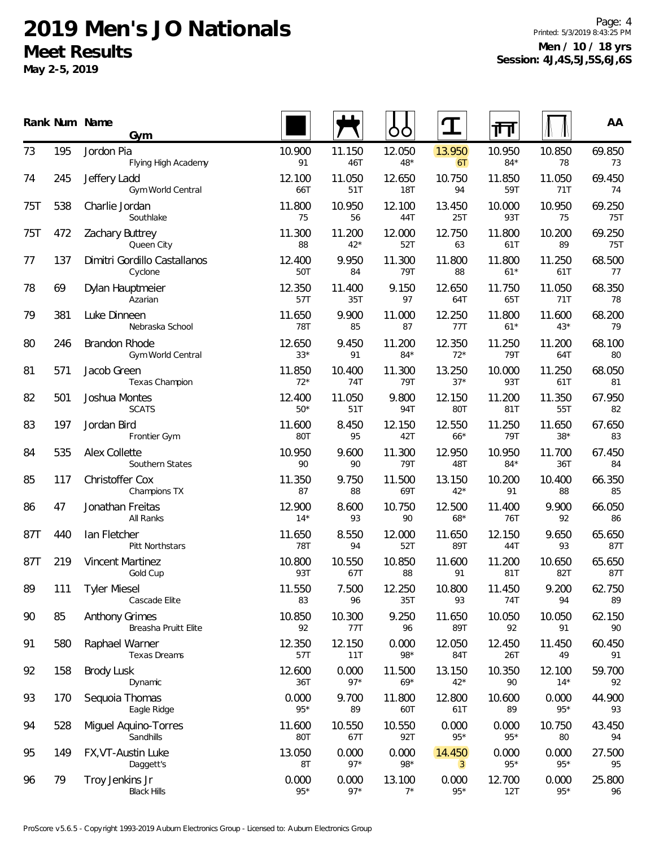**May 2-5, 2019**

95

96

149 FX,VT-Austin Luke

79 Troy Jenkins Jr

Daggett's

Black Hills

Page: 4 Printed: 5/3/2019 8:43:25 PM **Men / 10 / 18 yrs Session: 4J,4S,5J,5S,6J,6S**

|     |     | Rank Num Name<br>Gym                          |                      |                 |                      |                 | 帀               |                      | AA                   |
|-----|-----|-----------------------------------------------|----------------------|-----------------|----------------------|-----------------|-----------------|----------------------|----------------------|
| 73  | 195 | Jordon Pia<br>Flying High Academy             | 10.900<br>91         | 11.150<br>46T   | 12.050<br>$48*$      | 13.950<br>6T    | 10.950<br>$84*$ | 10.850<br>78         | 69.850<br>73         |
| 74  | 245 | Jeffery Ladd<br>Gym World Central             | 12.100<br>66T        | 11.050<br>51T   | 12.650<br><b>18T</b> | 10.750<br>94    | 11.850<br>59T   | 11.050<br><b>71T</b> | 69.450<br>74         |
| 75T | 538 | Charlie Jordan<br>Southlake                   | 11.800<br>75         | 10.950<br>56    | 12.100<br>44T        | 13.450<br>25T   | 10.000<br>93T   | 10.950<br>75         | 69.250<br>75T        |
| 75T | 472 | Zachary Buttrey<br>Queen City                 | 11.300<br>88         | 11.200<br>$42*$ | 12.000<br>52T        | 12.750<br>63    | 11.800<br>61T   | 10.200<br>89         | 69.250<br><b>75T</b> |
| 77  | 137 | Dimitri Gordillo Castallanos<br>Cyclone       | 12.400<br>50T        | 9.950<br>84     | 11.300<br>79T        | 11.800<br>88    | 11.800<br>$61*$ | 11.250<br>61T        | 68.500<br>77         |
| 78  | 69  | Dylan Hauptmeier<br>Azarian                   | 12.350<br>57T        | 11.400<br>35T   | 9.150<br>97          | 12.650<br>64T   | 11.750<br>65T   | 11.050<br>71T        | 68.350<br>78         |
| 79  | 381 | Luke Dinneen<br>Nebraska School               | 11.650<br><b>78T</b> | 9.900<br>85     | 11.000<br>87         | 12.250<br>77T   | 11.800<br>$61*$ | 11.600<br>$43*$      | 68.200<br>79         |
| 80  | 246 | Brandon Rhode<br>Gym World Central            | 12.650<br>$33*$      | 9.450<br>91     | 11.200<br>$84*$      | 12.350<br>$72*$ | 11.250<br>79T   | 11.200<br>64T        | 68.100<br>80         |
| 81  | 571 | Jacob Green<br>Texas Champion                 | 11.850<br>$72*$      | 10.400<br>74T   | 11.300<br>79T        | 13.250<br>$37*$ | 10.000<br>93T   | 11.250<br>61T        | 68.050<br>81         |
| 82  | 501 | Joshua Montes<br><b>SCATS</b>                 | 12.400<br>$50*$      | 11.050<br>51T   | 9.800<br><b>94T</b>  | 12.150<br>80T   | 11.200<br>81T   | 11.350<br>55T        | 67.950<br>82         |
| 83  | 197 | Jordan Bird<br>Frontier Gym                   | 11.600<br>80T        | 8.450<br>95     | 12.150<br>42T        | 12.550<br>$66*$ | 11.250<br>79T   | 11.650<br>$38*$      | 67.650<br>83         |
| 84  | 535 | Alex Collette<br>Southern States              | 10.950<br>90         | 9.600<br>90     | 11.300<br>79T        | 12.950<br>48T   | 10.950<br>$84*$ | 11.700<br>36T        | 67.450<br>84         |
| 85  | 117 | Christoffer Cox<br>Champions TX               | 11.350<br>87         | 9.750<br>88     | 11.500<br>69T        | 13.150<br>$42*$ | 10.200<br>91    | 10.400<br>88         | 66.350<br>85         |
| 86  | 47  | Jonathan Freitas<br>All Ranks                 | 12.900<br>$14*$      | 8.600<br>93     | 10.750<br>90         | 12.500<br>$68*$ | 11.400<br>76T   | 9.900<br>92          | 66.050<br>86         |
| 87T | 440 | lan Fletcher<br>Pitt Northstars               | 11.650<br>78T        | 8.550<br>94     | 12.000<br>52T        | 11.650<br>89T   | 12.150<br>44T   | 9.650<br>93          | 65.650<br>87T        |
| 87T | 219 | <b>Vincent Martinez</b><br>Gold Cup           | 10.800<br>93T        | 10.550<br>67T   | 10.850<br>88         | 11.600<br>91    | 11.200<br>81T   | 10.650<br>82T        | 65.650<br>87T        |
| 89  | 111 | <b>Tyler Miesel</b><br>Cascade Elite          | 11.550<br>83         | 7.500<br>96     | 12.250<br>35T        | 10.800<br>93    | 11.450<br>74T   | 9.200<br>94          | 62.750<br>89         |
| 90  | 85  | <b>Anthony Grimes</b><br>Breasha Pruitt Elite | 10.850<br>92         | 10.300<br>77T   | 9.250<br>96          | 11.650<br>89T   | 10.050<br>92    | 10.050<br>91         | 62.150<br>90         |
| 91  | 580 | Raphael Warner<br>Texas Dreams                | 12.350<br>57T        | 12.150<br>11T   | 0.000<br>98*         | 12.050<br>84T   | 12.450<br>26T   | 11.450<br>49         | 60.450<br>91         |
| 92  | 158 | <b>Brody Lusk</b><br>Dynamic                  | 12.600<br>36T        | 0.000<br>$97*$  | 11.500<br>$69*$      | 13.150<br>$42*$ | 10.350<br>90    | 12.100<br>$14*$      | 59.700<br>92         |
| 93  | 170 | Sequoia Thomas<br>Eagle Ridge                 | 0.000<br>$95*$       | 9.700<br>89     | 11.800<br>60T        | 12.800<br>61T   | 10.600<br>89    | 0.000<br>$95*$       | 44.900<br>93         |
| 94  | 528 | Miguel Aquino-Torres<br>Sandhills             | 11.600<br>80T        | 10.550<br>67T   | 10.550<br>92T        | 0.000<br>$95*$  | 0.000<br>$95*$  | 10.750<br>80         | 43.450<br>94         |

13.050 0.000 0.000 14.450 0.000 0.000 27.500 8T 97\* 98\* <mark>3</mark> 95\* 95\* 95

0.000 0.000 13.100 0.000 12.700 0.000 25.800  $95*$  97\* 7\* 95\* 12T 95\* 96